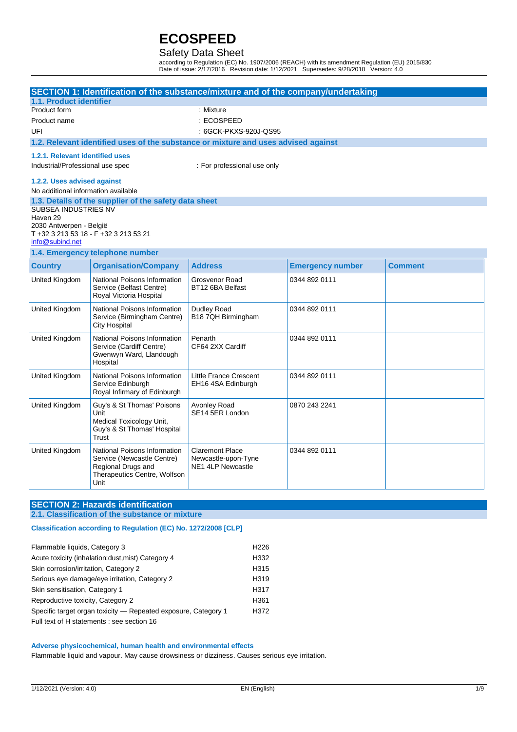### Safety Data Sheet

according to Regulation (EC) No. 1907/2006 (REACH) with its amendment Regulation (EU) 2015/830 Date of issue: 2/17/2016 Revision date: 1/12/2021 Supersedes: 9/28/2018 Version: 4.0

|                                     | SECTION 1: Identification of the substance/mixture and of the company/undertaking  |                                                 |                         |                |
|-------------------------------------|------------------------------------------------------------------------------------|-------------------------------------------------|-------------------------|----------------|
| 1.1. Product identifier             |                                                                                    |                                                 |                         |                |
| Product form                        |                                                                                    | : Mixture                                       |                         |                |
| Product name                        |                                                                                    | : ECOSPEED                                      |                         |                |
| UFI                                 |                                                                                    | : 6GCK-PKXS-920J-QS95                           |                         |                |
|                                     | 1.2. Relevant identified uses of the substance or mixture and uses advised against |                                                 |                         |                |
| 1.2.1. Relevant identified uses     |                                                                                    |                                                 |                         |                |
| Industrial/Professional use spec    |                                                                                    | : For professional use only                     |                         |                |
| 1.2.2. Uses advised against         |                                                                                    |                                                 |                         |                |
| No additional information available |                                                                                    |                                                 |                         |                |
|                                     | 1.3. Details of the supplier of the safety data sheet                              |                                                 |                         |                |
| SUBSEA INDUSTRIES NV                |                                                                                    |                                                 |                         |                |
| Haven 29<br>2030 Antwerpen - België |                                                                                    |                                                 |                         |                |
|                                     | T +32 3 213 53 18 - F +32 3 213 53 21                                              |                                                 |                         |                |
| info@subind.net                     |                                                                                    |                                                 |                         |                |
|                                     | 1.4. Emergency telephone number                                                    |                                                 |                         |                |
| <b>Country</b>                      | <b>Organisation/Company</b>                                                        | <b>Address</b>                                  | <b>Emergency number</b> | <b>Comment</b> |
| United Kingdom                      | National Poisons Information<br>Service (Belfast Centre)                           | Grosvenor Road<br>BT12 6BA Belfast              | 0344 892 0111           |                |
|                                     | Royal Victoria Hospital                                                            |                                                 |                         |                |
| <b>United Kingdom</b>               | National Poisons Information                                                       | Dudley Road<br>B18 7QH Birmingham               | 0344 892 0111           |                |
|                                     | Service (Birmingham Centre)<br><b>City Hospital</b>                                |                                                 |                         |                |
| United Kingdom                      | National Poisons Information<br>Service (Cardiff Centre)                           | Penarth<br>CF64 2XX Cardiff                     | 0344 892 0111           |                |
|                                     | Gwenwyn Ward, Llandough                                                            |                                                 |                         |                |
|                                     | Hospital                                                                           |                                                 |                         |                |
| United Kingdom                      | National Poisons Information                                                       | <b>Little France Crescent</b>                   | 0344 892 0111           |                |
|                                     | Service Edinburgh<br>Royal Infirmary of Edinburgh                                  | EH16 4SA Edinburgh                              |                         |                |
|                                     |                                                                                    |                                                 |                         |                |
| United Kingdom                      | Guy's & St Thomas' Poisons<br>Unit                                                 | Avonley Road<br>SE14 5ER London                 | 0870 243 2241           |                |
|                                     | Medical Toxicology Unit,                                                           |                                                 |                         |                |
|                                     | Guy's & St Thomas' Hospital                                                        |                                                 |                         |                |
|                                     | Trust                                                                              |                                                 |                         |                |
| United Kingdom                      | National Poisons Information                                                       | <b>Claremont Place</b>                          | 0344 892 0111           |                |
|                                     | Service (Newcastle Centre)                                                         | Newcastle-upon-Tyne<br><b>NE1 4LP Newcastle</b> |                         |                |
|                                     | Regional Drugs and<br>Therapeutics Centre, Wolfson                                 |                                                 |                         |                |
|                                     | Unit                                                                               |                                                 |                         |                |

### **SECTION 2: Hazards identification**

### **2.1. Classification of the substance or mixture**

### **Classification according to Regulation (EC) No. 1272/2008 [CLP]**

| Flammable liquids, Category 3                                  | H <sub>226</sub> |
|----------------------------------------------------------------|------------------|
| Acute toxicity (inhalation:dust, mist) Category 4              | H332             |
| Skin corrosion/irritation, Category 2                          | H315             |
| Serious eye damage/eye irritation, Category 2                  | H <sub>319</sub> |
| Skin sensitisation, Category 1                                 | H317             |
| Reproductive toxicity, Category 2                              | H <sub>361</sub> |
| Specific target organ toxicity – Repeated exposure, Category 1 | H372             |
| Full text of H statements : see section 16                     |                  |

#### **Adverse physicochemical, human health and environmental effects**

Flammable liquid and vapour. May cause drowsiness or dizziness. Causes serious eye irritation.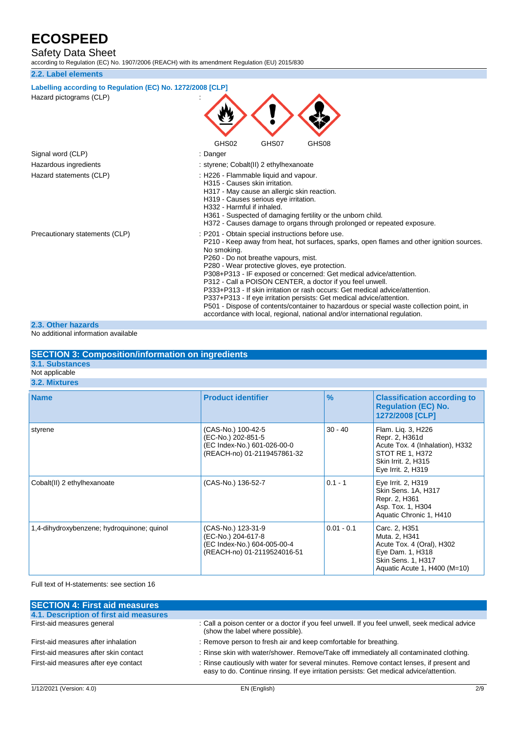Safety Data Sheet

according to Regulation (EC) No. 1907/2006 (REACH) with its amendment Regulation (EU) 2015/830

### **2.2. Label elements**

| Labelling according to Regulation (EC) No. 1272/2008 [CLP] |                                                                                                                                                                                                                                                                                                                                                                                                                                                                                                                                                                                                                                                                                                                             |
|------------------------------------------------------------|-----------------------------------------------------------------------------------------------------------------------------------------------------------------------------------------------------------------------------------------------------------------------------------------------------------------------------------------------------------------------------------------------------------------------------------------------------------------------------------------------------------------------------------------------------------------------------------------------------------------------------------------------------------------------------------------------------------------------------|
| Hazard pictograms (CLP)                                    | GHS02<br>GHS07<br>GHS08                                                                                                                                                                                                                                                                                                                                                                                                                                                                                                                                                                                                                                                                                                     |
| Signal word (CLP)                                          | : Danger                                                                                                                                                                                                                                                                                                                                                                                                                                                                                                                                                                                                                                                                                                                    |
| Hazardous ingredients                                      | : styrene; Cobalt(II) 2 ethylhexanoate                                                                                                                                                                                                                                                                                                                                                                                                                                                                                                                                                                                                                                                                                      |
| Hazard statements (CLP)                                    | : H226 - Flammable liquid and vapour.<br>H315 - Causes skin irritation.<br>H317 - May cause an allergic skin reaction.<br>H319 - Causes serious eye irritation.<br>H332 - Harmful if inhaled.<br>H361 - Suspected of damaging fertility or the unborn child.<br>H372 - Causes damage to organs through prolonged or repeated exposure.                                                                                                                                                                                                                                                                                                                                                                                      |
| Precautionary statements (CLP)                             | : P201 - Obtain special instructions before use.<br>P210 - Keep away from heat, hot surfaces, sparks, open flames and other ignition sources.<br>No smoking.<br>P260 - Do not breathe vapours, mist.<br>P280 - Wear protective gloves, eye protection.<br>P308+P313 - IF exposed or concerned: Get medical advice/attention.<br>P312 - Call a POISON CENTER, a doctor if you feel unwell.<br>P333+P313 - If skin irritation or rash occurs: Get medical advice/attention.<br>P337+P313 - If eye irritation persists: Get medical advice/attention.<br>P501 - Dispose of contents/container to hazardous or special waste collection point, in<br>accordance with local, regional, national and/or international regulation. |
| 2.3. Other hazards                                         |                                                                                                                                                                                                                                                                                                                                                                                                                                                                                                                                                                                                                                                                                                                             |

No additional information available

| <b>SECTION 3: Composition/information on ingredients</b> |                                                                                                        |               |                                                                                                                                         |
|----------------------------------------------------------|--------------------------------------------------------------------------------------------------------|---------------|-----------------------------------------------------------------------------------------------------------------------------------------|
| 3.1. Substances                                          |                                                                                                        |               |                                                                                                                                         |
| Not applicable                                           |                                                                                                        |               |                                                                                                                                         |
| 3.2. Mixtures                                            |                                                                                                        |               |                                                                                                                                         |
| <b>Name</b>                                              | <b>Product identifier</b>                                                                              | $\frac{9}{6}$ | <b>Classification according to</b><br><b>Requlation (EC) No.</b><br>1272/2008 [CLP]                                                     |
| styrene                                                  | (CAS-No.) 100-42-5<br>(EC-No.) 202-851-5<br>(EC Index-No.) 601-026-00-0<br>(REACH-no) 01-2119457861-32 | $30 - 40$     | Flam. Lig. 3, H226<br>Repr. 2, H361d<br>Acute Tox. 4 (Inhalation), H332<br>STOT RE 1, H372<br>Skin Irrit. 2, H315<br>Eye Irrit. 2, H319 |
| Cobalt(II) 2 ethylhexanoate                              | (CAS-No.) 136-52-7                                                                                     | $0.1 - 1$     | Eye Irrit. 2, H319<br>Skin Sens. 1A, H317<br>Repr. 2, H361<br>Asp. Tox. 1, H304<br>Aquatic Chronic 1, H410                              |
| 1,4-dihydroxybenzene; hydroquinone; quinol               | (CAS-No.) 123-31-9<br>(EC-No.) 204-617-8<br>(EC Index-No.) 604-005-00-4                                | $0.01 - 0.1$  | Carc. 2, H351<br>Muta. 2, H341<br>Acute Tox. 4 (Oral), H302                                                                             |

Full text of H-statements: see section 16

| <b>SECTION 4: First aid measures</b>   |                                                                                                                                                                                     |
|----------------------------------------|-------------------------------------------------------------------------------------------------------------------------------------------------------------------------------------|
| 4.1. Description of first aid measures |                                                                                                                                                                                     |
| First-aid measures general             | : Call a poison center or a doctor if you feel unwell. If you feel unwell, seek medical advice<br>(show the label where possible).                                                  |
| First-aid measures after inhalation    | : Remove person to fresh air and keep comfortable for breathing.                                                                                                                    |
| First-aid measures after skin contact  | : Rinse skin with water/shower. Remove/Take off immediately all contaminated clothing.                                                                                              |
| First-aid measures after eye contact   | : Rinse cautiously with water for several minutes. Remove contact lenses, if present and<br>easy to do. Continue rinsing. If eye irritation persists: Get medical advice/attention. |

(REACH-no) 01-2119524016-51

Eye Dam. 1, H318 Skin Sens. 1, H317

Aquatic Acute 1, H400 (M=10)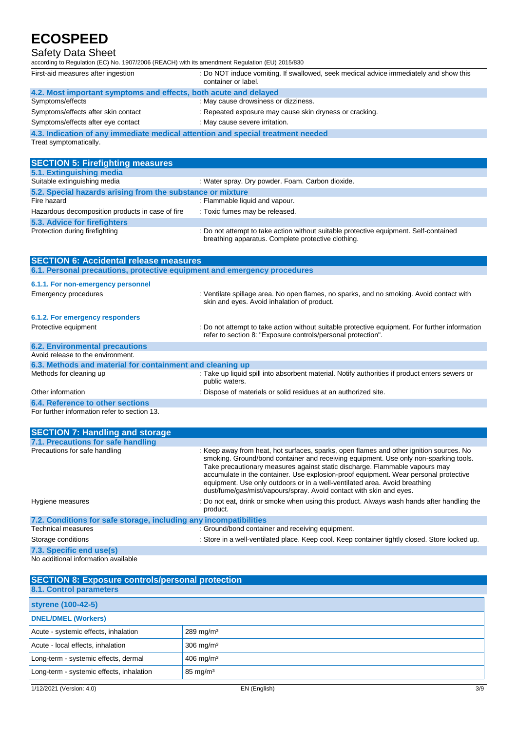## Safety Data Sheet

according to Regulation (EC) No. 1907/2006 (REACH) with its amendment Regulation (EU) 2015/830

| according to Regulation (EC) No. 1907/2006 (REACH) with its amendment Regulation (EU) 2015/830            |                                                                                                              |  |  |  |
|-----------------------------------------------------------------------------------------------------------|--------------------------------------------------------------------------------------------------------------|--|--|--|
| First-aid measures after ingestion                                                                        | : Do NOT induce vomiting. If swallowed, seek medical advice immediately and show this<br>container or label. |  |  |  |
| 4.2. Most important symptoms and effects, both acute and delayed                                          |                                                                                                              |  |  |  |
| Symptoms/effects                                                                                          | : May cause drowsiness or dizziness.                                                                         |  |  |  |
| Symptoms/effects after skin contact                                                                       | : Repeated exposure may cause skin dryness or cracking.                                                      |  |  |  |
| Symptoms/effects after eye contact                                                                        | : May cause severe irritation.                                                                               |  |  |  |
| 4.3. Indication of any immediate medical attention and special treatment needed<br>Treat symptomatically. |                                                                                                              |  |  |  |
|                                                                                                           |                                                                                                              |  |  |  |
| <b>SECTION 5: Firefighting measures</b>                                                                   |                                                                                                              |  |  |  |
| 5.1. Extinguishing media                                                                                  |                                                                                                              |  |  |  |
| Suitable extinguishing media                                                                              | : Water spray. Dry powder. Foam. Carbon dioxide.                                                             |  |  |  |
|                                                                                                           | 5.2. Special hazards arising from the substance or mixture                                                   |  |  |  |
| Fire hazard                                                                                               | : Flammable liquid and vapour.                                                                               |  |  |  |
| Hazardous decomposition products in case of fire                                                          | : Toxic fumes may be released.                                                                               |  |  |  |
| 5.3. Advice for firefighters                                                                              |                                                                                                              |  |  |  |

# **Protection during firefighting**

Protection during firefighting statempt to take action without suitable protective equipment. Self-contained breathing apparatus. Complete protective clothing.

| <b>SECTION 6: Accidental release measures</b>                            |                                                                                                                                                                |
|--------------------------------------------------------------------------|----------------------------------------------------------------------------------------------------------------------------------------------------------------|
| 6.1. Personal precautions, protective equipment and emergency procedures |                                                                                                                                                                |
| 6.1.1. For non-emergency personnel                                       |                                                                                                                                                                |
| <b>Emergency procedures</b>                                              | : Ventilate spillage area. No open flames, no sparks, and no smoking. Avoid contact with<br>skin and eyes. Avoid inhalation of product.                        |
| 6.1.2. For emergency responders                                          |                                                                                                                                                                |
| Protective equipment                                                     | : Do not attempt to take action without suitable protective equipment. For further information<br>refer to section 8: "Exposure controls/personal protection". |
| <b>6.2. Environmental precautions</b>                                    |                                                                                                                                                                |
| Avoid release to the environment.                                        |                                                                                                                                                                |
| 6.3. Methods and material for containment and cleaning up                |                                                                                                                                                                |
| Methods for cleaning up                                                  | : Take up liquid spill into absorbent material. Notify authorities if product enters sewers or<br>public waters.                                               |
| Other information                                                        | : Dispose of materials or solid residues at an authorized site.                                                                                                |
| <b>6.4. Reference to other sections</b>                                  |                                                                                                                                                                |
| For further information refer to section 13.                             |                                                                                                                                                                |

| <b>SECTION 7: Handling and storage</b>                            |                                                                                                                                                                                                                                                                                                                                                                                                                                                                                                             |
|-------------------------------------------------------------------|-------------------------------------------------------------------------------------------------------------------------------------------------------------------------------------------------------------------------------------------------------------------------------------------------------------------------------------------------------------------------------------------------------------------------------------------------------------------------------------------------------------|
| 7.1. Precautions for safe handling                                |                                                                                                                                                                                                                                                                                                                                                                                                                                                                                                             |
| Precautions for safe handling                                     | : Keep away from heat, hot surfaces, sparks, open flames and other ignition sources. No<br>smoking. Ground/bond container and receiving equipment. Use only non-sparking tools.<br>Take precautionary measures against static discharge. Flammable vapours may<br>accumulate in the container. Use explosion-proof equipment. Wear personal protective<br>equipment. Use only outdoors or in a well-ventilated area. Avoid breathing<br>dust/fume/gas/mist/vapours/spray. Avoid contact with skin and eyes. |
| Hygiene measures                                                  | : Do not eat, drink or smoke when using this product. Always wash hands after handling the<br>product.                                                                                                                                                                                                                                                                                                                                                                                                      |
| 7.2. Conditions for safe storage, including any incompatibilities |                                                                                                                                                                                                                                                                                                                                                                                                                                                                                                             |
| <b>Technical measures</b>                                         | : Ground/bond container and receiving equipment.                                                                                                                                                                                                                                                                                                                                                                                                                                                            |
| Storage conditions                                                | : Store in a well-ventilated place. Keep cool. Keep container tightly closed. Store locked up.                                                                                                                                                                                                                                                                                                                                                                                                              |
| 7.3. Specific end use(s)                                          |                                                                                                                                                                                                                                                                                                                                                                                                                                                                                                             |
| No additional information available                               |                                                                                                                                                                                                                                                                                                                                                                                                                                                                                                             |

| <b>SECTION 8: Exposure controls/personal protection</b><br>8.1. Control parameters |                         |  |
|------------------------------------------------------------------------------------|-------------------------|--|
| styrene (100-42-5)                                                                 |                         |  |
| <b>DNEL/DMEL (Workers)</b>                                                         |                         |  |
| Acute - systemic effects, inhalation                                               | $289$ mg/m <sup>3</sup> |  |
| Acute - local effects, inhalation                                                  | $306 \text{ mg/m}^3$    |  |
| Long-term - systemic effects, dermal                                               | $406$ mg/m <sup>3</sup> |  |
| Long-term - systemic effects, inhalation                                           | $85 \text{ mg/m}^3$     |  |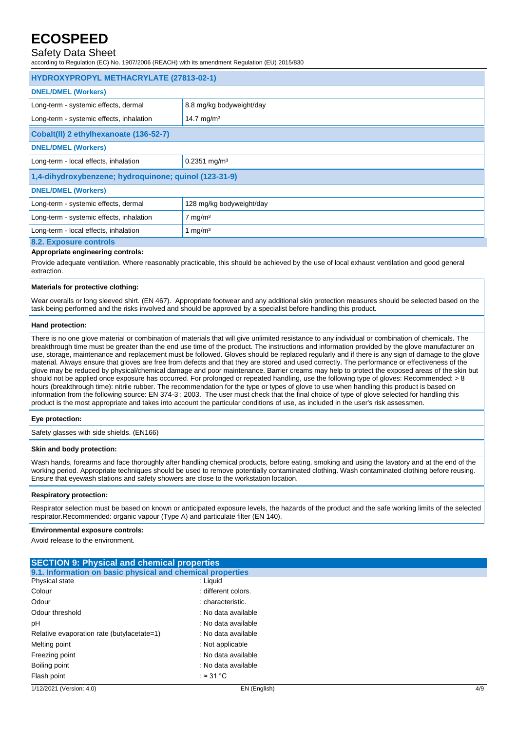### Safety Data Sheet

according to Regulation (EC) No. 1907/2006 (REACH) with its amendment Regulation (EU) 2015/830

| HYDROXYPROPYL METHACRYLATE (27813-02-1)               |                            |  |
|-------------------------------------------------------|----------------------------|--|
| <b>DNEL/DMEL (Workers)</b>                            |                            |  |
| Long-term - systemic effects, dermal                  | 8.8 mg/kg bodyweight/day   |  |
| Long-term - systemic effects, inhalation              | 14.7 mg/m <sup>3</sup>     |  |
| Cobalt(II) 2 ethylhexanoate (136-52-7)                |                            |  |
| <b>DNEL/DMEL (Workers)</b>                            |                            |  |
| Long-term - local effects, inhalation                 | $0.2351$ mg/m <sup>3</sup> |  |
| 1,4-dihydroxybenzene; hydroquinone; quinol (123-31-9) |                            |  |
| <b>DNEL/DMEL (Workers)</b>                            |                            |  |
| Long-term - systemic effects, dermal                  | 128 mg/kg bodyweight/day   |  |
| Long-term - systemic effects, inhalation              | $7 \text{ mg/m}^3$         |  |
| Long-term - local effects, inhalation                 | 1 mg/m <sup>3</sup>        |  |
| 8.2. Exposure controls                                |                            |  |

#### **Appropriate engineering controls:**

Provide adequate ventilation. Where reasonably practicable, this should be achieved by the use of local exhaust ventilation and good general extraction.

#### **Materials for protective clothing:**

Wear overalls or long sleeved shirt. (EN 467). Appropriate footwear and any additional skin protection measures should be selected based on the task being performed and the risks involved and should be approved by a specialist before handling this product.

#### **Hand protection:**

There is no one glove material or combination of materials that will give unlimited resistance to any individual or combination of chemicals. The breakthrough time must be greater than the end use time of the product. The instructions and information provided by the glove manufacturer on use, storage, maintenance and replacement must be followed. Gloves should be replaced regularly and if there is any sign of damage to the glove material. Always ensure that gloves are free from defects and that they are stored and used correctly. The performance or effectiveness of the glove may be reduced by physical/chemical damage and poor maintenance. Barrier creams may help to protect the exposed areas of the skin but should not be applied once exposure has occurred. For prolonged or repeated handling, use the following type of gloves: Recommended: > 8 hours (breakthrough time): nitrile rubber. The recommendation for the type or types of glove to use when handling this product is based on information from the following source: EN 374-3 : 2003. The user must check that the final choice of type of glove selected for handling this product is the most appropriate and takes into account the particular conditions of use, as included in the user's risk assessmen.

#### **Eye protection:**

Safety glasses with side shields. (EN166)

#### **Skin and body protection:**

Wash hands, forearms and face thoroughly after handling chemical products, before eating, smoking and using the lavatory and at the end of the working period. Appropriate techniques should be used to remove potentially contaminated clothing. Wash contaminated clothing before reusing. Ensure that eyewash stations and safety showers are close to the workstation location.

#### **Respiratory protection:**

Respirator selection must be based on known or anticipated exposure levels, the hazards of the product and the safe working limits of the selected respirator.Recommended: organic vapour (Type A) and particulate filter (EN 140).

#### **Environmental exposure controls:**

Avoid release to the environment.

| <b>SECTION 9: Physical and chemical properties</b><br>9.1. Information on basic physical and chemical properties                 |                                            |     |  |
|----------------------------------------------------------------------------------------------------------------------------------|--------------------------------------------|-----|--|
|                                                                                                                                  |                                            |     |  |
| Physical state                                                                                                                   | : Liquid                                   |     |  |
| Colour                                                                                                                           | : different colors.                        |     |  |
| Odour<br>Odour threshold<br>рH<br>Relative evaporation rate (butylacetate=1)<br>Melting point<br>Freezing point<br>Boiling point | : characteristic.                          |     |  |
|                                                                                                                                  | : No data available                        |     |  |
|                                                                                                                                  | : No data available<br>: No data available |     |  |
|                                                                                                                                  |                                            |     |  |
|                                                                                                                                  | : Not applicable                           |     |  |
|                                                                                                                                  | : No data available<br>: No data available |     |  |
|                                                                                                                                  |                                            |     |  |
| Flash point                                                                                                                      | : $\approx$ 31 °C                          |     |  |
| 1/12/2021 (Version: 4.0)                                                                                                         | EN (English)                               | 4/9 |  |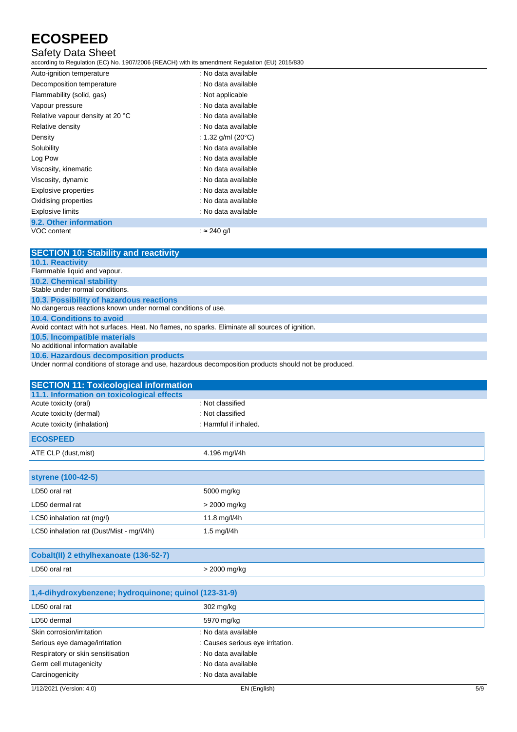## Safety Data Sheet

according to Regulation (EC) No. 1907/2006 (REACH) with its amendment Regulation (EU) 2015/830

VOC content : ≈ 240 g/l

| Auto-ignition temperature        | : No data available           |  |
|----------------------------------|-------------------------------|--|
| Decomposition temperature        | : No data available           |  |
| Flammability (solid, gas)        | : Not applicable              |  |
| Vapour pressure                  | : No data available           |  |
| Relative vapour density at 20 °C | : No data available           |  |
| Relative density                 | : No data available           |  |
| Density                          | : 1.32 g/ml (20 $^{\circ}$ C) |  |
| Solubility                       | : No data available           |  |
| Log Pow                          | : No data available           |  |
| Viscosity, kinematic             | : No data available           |  |
| Viscosity, dynamic               | : No data available           |  |
| Explosive properties             | : No data available           |  |
| Oxidising properties             | : No data available           |  |
| <b>Explosive limits</b>          | : No data available           |  |
| 9.2. Other information           |                               |  |

| <b>SECTION 10: Stability and reactivity</b>                                                     |
|-------------------------------------------------------------------------------------------------|
| <b>10.1. Reactivity</b>                                                                         |
| Flammable liquid and vapour.                                                                    |
| <b>10.2. Chemical stability</b>                                                                 |
| Stable under normal conditions.                                                                 |
| 10.3. Possibility of hazardous reactions                                                        |
| No dangerous reactions known under normal conditions of use.                                    |
| 10.4. Conditions to avoid                                                                       |
| Avoid contact with hot surfaces. Heat. No flames, no sparks. Eliminate all sources of ignition. |
| 10.5. Incompatible materials                                                                    |
| No additional information available                                                             |
| 10.6. Hazardous decomposition products                                                          |
| .                                                                                               |

Under normal conditions of storage and use, hazardous decomposition products should not be produced.

| <b>SECTION 11: Toxicological information</b> |                       |
|----------------------------------------------|-----------------------|
| 11.1. Information on toxicological effects   |                       |
| Acute toxicity (oral)                        | : Not classified      |
| Acute toxicity (dermal)                      | : Not classified      |
| Acute toxicity (inhalation)                  | : Harmful if inhaled. |
| <b>ECOSPEED</b>                              |                       |
| ATE CLP (dust, mist)                         | 4.196 mg/l/4h         |

| <b>styrene (100-42-5)</b>                 |                |
|-------------------------------------------|----------------|
| LD50 oral rat                             | 5000 mg/kg     |
| LD50 dermal rat                           | $>$ 2000 mg/kg |
| LC50 inhalation rat (mg/l)                | 11.8 mg/l/4h   |
| LC50 inhalation rat (Dust/Mist - mg/l/4h) | 1.5 mg/l/4h    |

| Cobalt(II) 2 ethylhexanoate (136-52-7) |                |
|----------------------------------------|----------------|
| LD50 oral rat                          | . > 2000 mg/kg |

| 1,4-dihydroxybenzene; hydroquinone; quinol (123-31-9) |                                  |  |
|-------------------------------------------------------|----------------------------------|--|
| LD50 oral rat                                         | 302 mg/kg                        |  |
| LD50 dermal                                           | 5970 mg/kg                       |  |
| Skin corrosion/irritation                             | : No data available              |  |
| Serious eye damage/irritation                         | : Causes serious eye irritation. |  |
| Respiratory or skin sensitisation                     | : No data available              |  |
| Germ cell mutagenicity                                | : No data available              |  |
| Carcinogenicity                                       | : No data available              |  |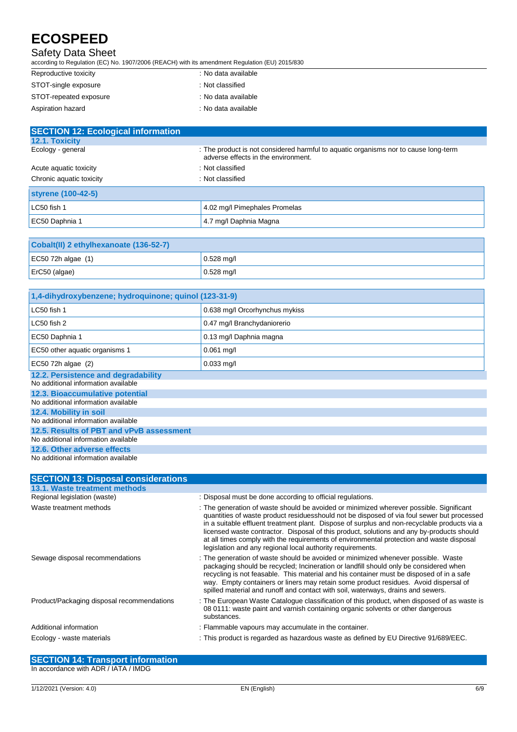### Safety Data Sheet

according to Regulation (EC) No. 1907/2006 (REACH) with its amendment Regulation (EU) 2015/830

| Reproductive toxicity  | : No data available |
|------------------------|---------------------|
| STOT-single exposure   | : Not classified    |
| STOT-repeated exposure | : No data available |
| Aspiration hazard      | : No data available |

| <b>SECTION 12: Ecological information</b> |                                                                                                                            |  |
|-------------------------------------------|----------------------------------------------------------------------------------------------------------------------------|--|
| <b>12.1. Toxicity</b>                     |                                                                                                                            |  |
| Ecology - general                         | : The product is not considered harmful to aquatic organisms nor to cause long-term<br>adverse effects in the environment. |  |
| Acute aguatic toxicity                    | : Not classified                                                                                                           |  |
| Chronic aquatic toxicity                  | : Not classified                                                                                                           |  |
| styrene (100-42-5)                        |                                                                                                                            |  |
| LC50 fish 1                               | 4.02 mg/l Pimephales Promelas                                                                                              |  |
| EC50 Daphnia 1                            | 4.7 mg/l Daphnia Magna                                                                                                     |  |

| Cobalt(II) 2 ethylhexanoate (136-52-7) |              |  |
|----------------------------------------|--------------|--|
| EC50 72h algae $(1)$                   | $0.528$ mg/l |  |
| $ETC50$ (algae)                        | $0.528$ mg/l |  |

| 1,4-dihydroxybenzene; hydroquinone; quinol (123-31-9)                      |                                |  |
|----------------------------------------------------------------------------|--------------------------------|--|
| LC50 fish 1                                                                | 0.638 mg/l Orcorhynchus mykiss |  |
| LC50 fish 2                                                                | 0.47 mg/l Branchydaniorerio    |  |
| EC50 Daphnia 1                                                             | 0.13 mg/l Daphnia magna        |  |
| EC50 other aquatic organisms 1                                             | $0.061$ mg/l                   |  |
| EC50 72h algae (2)                                                         | $0.033$ mg/l                   |  |
| 12.2. Persistence and degradability<br>No additional information available |                                |  |
| 12.3. Bioaccumulative potential<br>No additional information available     |                                |  |
| 12.4. Mobility in soil<br>No additional information available              |                                |  |
| 12.5. Results of PBT and vPvB assessment                                   |                                |  |
| No additional information available                                        |                                |  |
| 12.6. Other adverse effects                                                |                                |  |
| No additional information available                                        |                                |  |

| <b>SECTION 13: Disposal considerations</b> |                                                                                                                                                                                                                                                                                                                                                                                                                                                                                                                                              |
|--------------------------------------------|----------------------------------------------------------------------------------------------------------------------------------------------------------------------------------------------------------------------------------------------------------------------------------------------------------------------------------------------------------------------------------------------------------------------------------------------------------------------------------------------------------------------------------------------|
| 13.1. Waste treatment methods              |                                                                                                                                                                                                                                                                                                                                                                                                                                                                                                                                              |
| Regional legislation (waste)               | : Disposal must be done according to official regulations.                                                                                                                                                                                                                                                                                                                                                                                                                                                                                   |
| Waste treatment methods                    | : The generation of waste should be avoided or minimized wherever possible. Significant<br>quantities of waste product residuesshould not be disposed of via foul sewer but processed<br>in a suitable effluent treatment plant. Dispose of surplus and non-recyclable products via a<br>licensed waste contractor. Disposal of this product, solutions and any by-products should<br>at all times comply with the requirements of environmental protection and waste disposal<br>legislation and any regional local authority requirements. |
| Sewage disposal recommendations            | : The generation of waste should be avoided or minimized whenever possible. Waste<br>packaging should be recycled; Incineration or landfill should only be considered when<br>recycling is not feasable. This material and his container must be disposed of in a safe<br>way. Empty containers or liners may retain some product residues. Avoid dispersal of<br>spilled material and runoff and contact with soil, waterways, drains and sewers.                                                                                           |
| Product/Packaging disposal recommendations | : The European Waste Cataloque classification of this product, when disposed of as waste is<br>08 0111: waste paint and varnish containing organic solvents or other dangerous<br>substances.                                                                                                                                                                                                                                                                                                                                                |
| Additional information                     | : Flammable vapours may accumulate in the container.                                                                                                                                                                                                                                                                                                                                                                                                                                                                                         |
| Ecology - waste materials                  | : This product is regarded as hazardous waste as defined by EU Directive 91/689/EEC.                                                                                                                                                                                                                                                                                                                                                                                                                                                         |

**SECTION 14: Transport information** In accordance with ADR / IATA / IMDG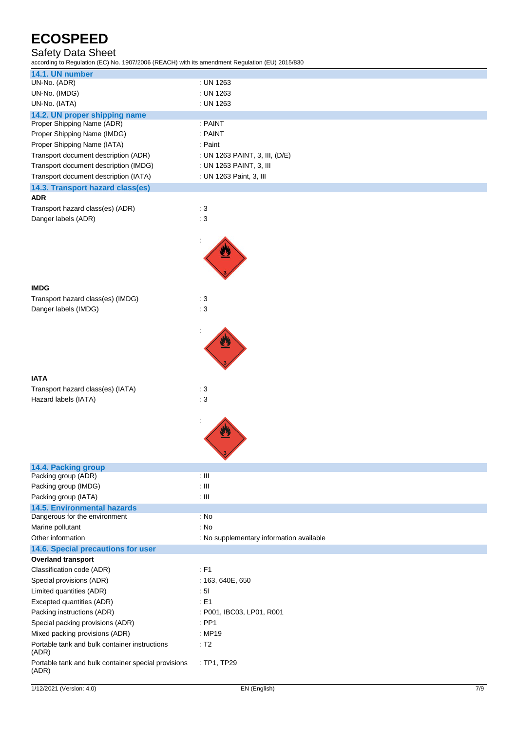## Safety Data Sheet

according to Regulation (EC) No. 1907/2006 (REACH) with its amendment Regulation (EU) 2015/830

| 14.1. UN number                                              |                                          |  |
|--------------------------------------------------------------|------------------------------------------|--|
| UN-No. (ADR)                                                 | : UN 1263                                |  |
| UN-No. (IMDG)                                                | : UN 1263                                |  |
| UN-No. (IATA)                                                | : UN 1263                                |  |
| 14.2. UN proper shipping name                                |                                          |  |
| Proper Shipping Name (ADR)                                   | : PAINT                                  |  |
| Proper Shipping Name (IMDG)                                  | : PAINT                                  |  |
| Proper Shipping Name (IATA)                                  | : Paint                                  |  |
| Transport document description (ADR)                         | : UN 1263 PAINT, 3, III, (D/E)           |  |
| Transport document description (IMDG)                        | : UN 1263 PAINT, 3, III                  |  |
| Transport document description (IATA)                        | : UN 1263 Paint, 3, III                  |  |
| 14.3. Transport hazard class(es)<br><b>ADR</b>               |                                          |  |
| Transport hazard class(es) (ADR)                             | $\therefore$ 3                           |  |
|                                                              |                                          |  |
| Danger labels (ADR)                                          | : 3                                      |  |
|                                                              |                                          |  |
|                                                              |                                          |  |
|                                                              |                                          |  |
|                                                              |                                          |  |
|                                                              |                                          |  |
| <b>IMDG</b>                                                  |                                          |  |
| Transport hazard class(es) (IMDG)                            | : 3                                      |  |
| Danger labels (IMDG)                                         | : 3                                      |  |
|                                                              |                                          |  |
|                                                              |                                          |  |
|                                                              |                                          |  |
|                                                              |                                          |  |
|                                                              |                                          |  |
|                                                              |                                          |  |
|                                                              |                                          |  |
| <b>IATA</b>                                                  |                                          |  |
| Transport hazard class(es) (IATA)                            | : $\sqrt{3}$                             |  |
| Hazard labels (IATA)                                         | $\therefore$ 3                           |  |
|                                                              |                                          |  |
|                                                              |                                          |  |
|                                                              |                                          |  |
|                                                              |                                          |  |
|                                                              |                                          |  |
| 14.4. Packing group<br>Packing group (ADR)                   | $\pm$ III                                |  |
| Packing group (IMDG)                                         | $\pm$ III                                |  |
| Packing group (IATA)                                         | $: \mathbb{H}$                           |  |
| <b>14.5. Environmental hazards</b>                           |                                          |  |
| Dangerous for the environment                                | : No                                     |  |
| Marine pollutant                                             | : No                                     |  |
| Other information                                            | : No supplementary information available |  |
| 14.6. Special precautions for user                           |                                          |  |
| <b>Overland transport</b>                                    |                                          |  |
| Classification code (ADR)                                    | $\therefore$ F1                          |  |
| Special provisions (ADR)                                     | : 163, 640E, 650                         |  |
| Limited quantities (ADR)                                     | : 51                                     |  |
| Excepted quantities (ADR)                                    | : E1                                     |  |
| Packing instructions (ADR)                                   | : P001, IBC03, LP01, R001                |  |
| Special packing provisions (ADR)                             | $:$ PP1                                  |  |
| Mixed packing provisions (ADR)                               | : MP19                                   |  |
| Portable tank and bulk container instructions                | $\therefore$ T2                          |  |
| (ADR)<br>Portable tank and bulk container special provisions | : TP1, TP29                              |  |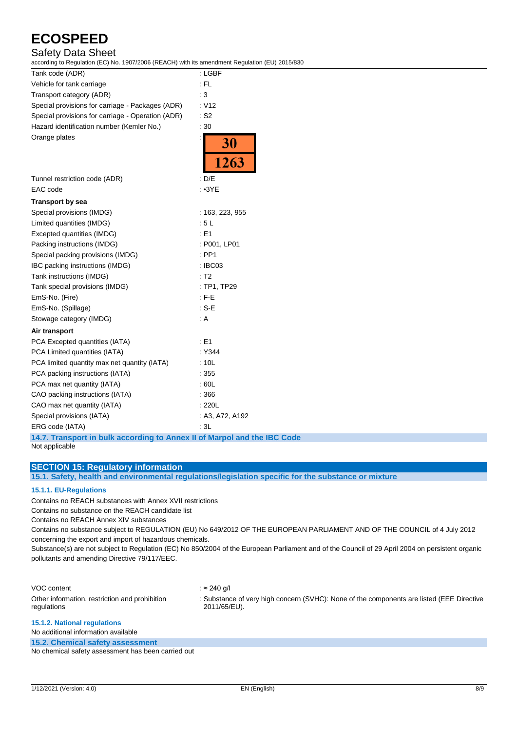## Safety Data Sheet

according to Regulation (EC) No. 1907/2006 (REACH) with its amendment Regulation (EU) 2015/830

| Tank code (ADR)                                   | : LGBF             |
|---------------------------------------------------|--------------------|
| Vehicle for tank carriage                         | $:$ FL             |
| Transport category (ADR)                          | :3                 |
| Special provisions for carriage - Packages (ADR)  | : V12              |
| Special provisions for carriage - Operation (ADR) | $:$ S <sub>2</sub> |
| Hazard identification number (Kemler No.)         | :30                |
| Orange plates                                     | <b>30</b><br>1263  |
| Tunnel restriction code (ADR)                     | : D/E              |
| EAC code                                          | : 3YE              |
| <b>Transport by sea</b>                           |                    |
| Special provisions (IMDG)                         | : 163, 223, 955    |
| Limited quantities (IMDG)                         | :5L                |
| Excepted quantities (IMDG)                        | : E1               |
| Packing instructions (IMDG)                       | : P001, LP01       |
| Special packing provisions (IMDG)                 | $:$ PP1            |
| IBC packing instructions (IMDG)                   | : IBC03            |
| Tank instructions (IMDG)                          | : T2               |
| Tank special provisions (IMDG)                    | : TP1, TP29        |
| EmS-No. (Fire)                                    | $:$ F-E            |
| EmS-No. (Spillage)                                | $: S-E$            |
| Stowage category (IMDG)                           | : A                |
| Air transport                                     |                    |
| PCA Excepted quantities (IATA)                    | : E1               |
| PCA Limited quantities (IATA)                     | : Y344             |
| PCA limited quantity max net quantity (IATA)      | :10L               |
| PCA packing instructions (IATA)                   | :355               |
| PCA max net quantity (IATA)                       | :60L               |
| CAO packing instructions (IATA)                   | : 366              |
| CAO max net quantity (IATA)                       | : 220L             |
| Special provisions (IATA)                         | : A3, A72, A192    |
| ERG code (IATA)                                   | : 3L               |

**14.7. Transport in bulk according to Annex II of Marpol and the IBC Code** Not applicable

### **SECTION 15: Regulatory information**

**15.1. Safety, health and environmental regulations/legislation specific for the substance or mixture**

### **15.1.1. EU-Regulations**

Contains no REACH substances with Annex XVII restrictions

Contains no substance on the REACH candidate list

Contains no REACH Annex XIV substances

Contains no substance subject to REGULATION (EU) No 649/2012 OF THE EUROPEAN PARLIAMENT AND OF THE COUNCIL of 4 July 2012 concerning the export and import of hazardous chemicals.

Substance(s) are not subject to Regulation (EC) No 850/2004 of the European Parliament and of the Council of 29 April 2004 on persistent organic pollutants and amending Directive 79/117/EEC.

| VOC content                                                   | : ≈ 240 a/l                                                                                               |
|---------------------------------------------------------------|-----------------------------------------------------------------------------------------------------------|
| Other information, restriction and prohibition<br>regulations | : Substance of very high concern (SVHC): None of the components are listed (EEE Directive<br>2011/65/EU). |
| <b>AE A.O. Metianal required and</b>                          |                                                                                                           |

#### **15.1.2. National regulations**

No additional information available

**15.2. Chemical safety assessment**

No chemical safety assessment has been carried out